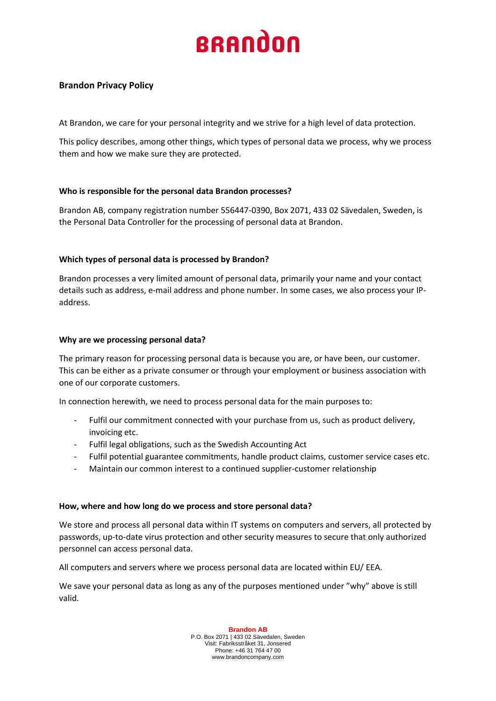# **BRANDON**

## **Brandon Privacy Policy**

At Brandon, we care for your personal integrity and we strive for a high level of data protection.

This policy describes, among other things, which types of personal data we process, why we process them and how we make sure they are protected.

## **Who is responsible for the personal data Brandon processes?**

Brandon AB, company registration number 556447-0390, Box 2071, 433 02 Sävedalen, Sweden, is the Personal Data Controller for the processing of personal data at Brandon.

## **Which types of personal data is processed by Brandon?**

Brandon processes a very limited amount of personal data, primarily your name and your contact details such as address, e-mail address and phone number. In some cases, we also process your IPaddress.

## **Why are we processing personal data?**

The primary reason for processing personal data is because you are, or have been, our customer. This can be either as a private consumer or through your employment or business association with one of our corporate customers.

In connection herewith, we need to process personal data for the main purposes to:

- Fulfil our commitment connected with your purchase from us, such as product delivery, invoicing etc.
- Fulfil legal obligations, such as the Swedish Accounting Act
- Fulfil potential guarantee commitments, handle product claims, customer service cases etc.
- Maintain our common interest to a continued supplier-customer relationship

#### **How, where and how long do we process and store personal data?**

We store and process all personal data within IT systems on computers and servers, all protected by passwords, up-to-date virus protection and other security measures to secure that only authorized personnel can access personal data.

All computers and servers where we process personal data are located within EU/ EEA.

We save your personal data as long as any of the purposes mentioned under "why" above is still valid.

> **Brandon AB** P.O. Box 2071 | 433 02 Sävedalen, Sweden Visit: Fabriksstråket 31, Jonsered Phone: +46 31 764 47 00 www.brandoncompany.com